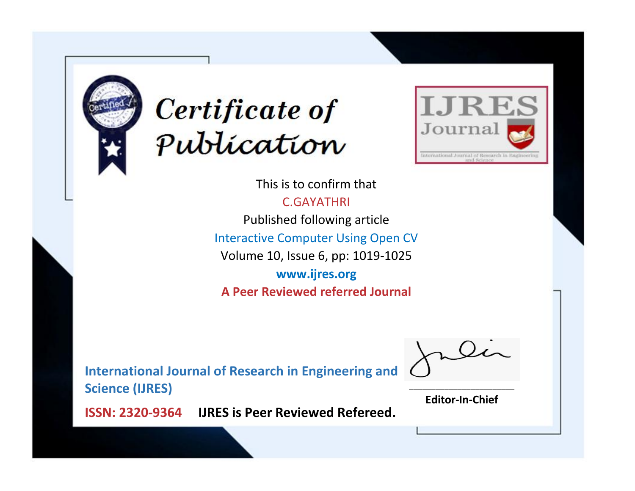



This is to confirm that C.GAYATHRI Published following article Interactive Computer Using Open CV Volume 10, Issue 6, pp: 1019-1025 **www.ijres.org A Peer Reviewed referred Journal**

**International Journal of Research in Engineering and Science (IJRES)**

\_\_\_\_\_\_\_\_\_\_\_\_\_\_\_\_\_\_\_\_\_\_\_\_ **Editor-In-Chief**

**Journal.**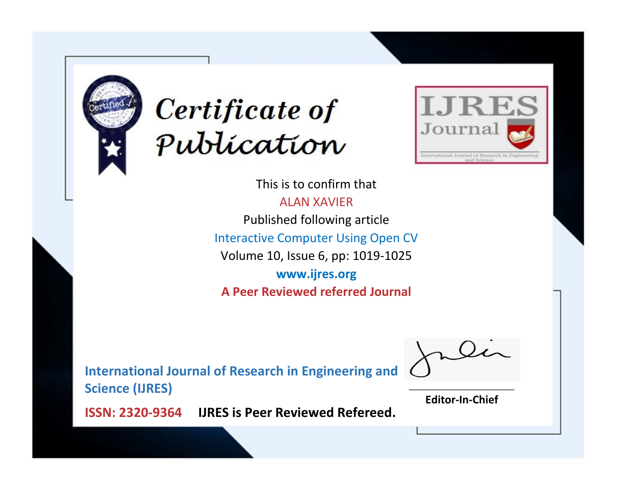



This is to confirm that ALAN XAVIER Published following article Interactive Computer Using Open CV Volume 10, Issue 6, pp: 1019-1025 **www.ijres.org A Peer Reviewed referred Journal**

**International Journal of Research in Engineering and Science (IJRES)**

\_\_\_\_\_\_\_\_\_\_\_\_\_\_\_\_\_\_\_\_\_\_\_\_ **Editor-In-Chief**

**Journal.**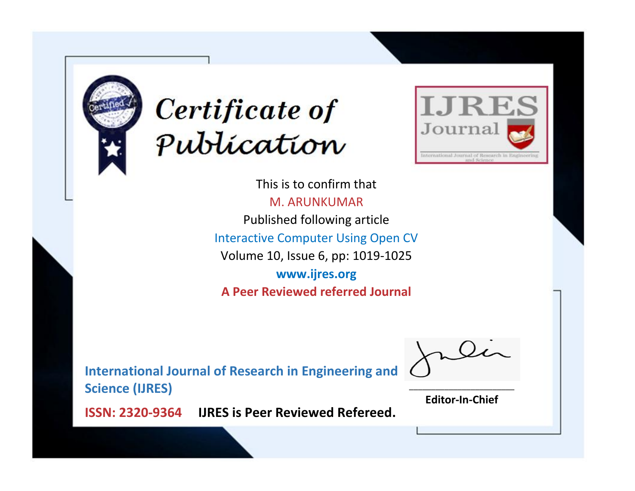



This is to confirm that M. ARUNKUMAR Published following article Interactive Computer Using Open CV Volume 10, Issue 6, pp: 1019-1025 **www.ijres.org A Peer Reviewed referred Journal**

**International Journal of Research in Engineering and Science (IJRES)**

\_\_\_\_\_\_\_\_\_\_\_\_\_\_\_\_\_\_\_\_\_\_\_\_ **Editor-In-Chief**

**Journal.**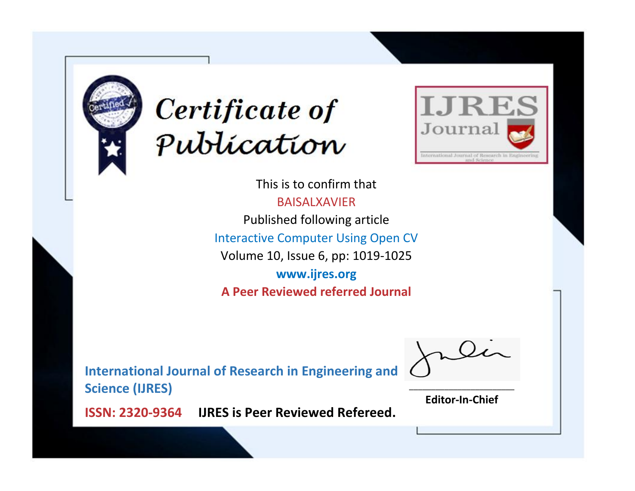



This is to confirm that BAISALXAVIER Published following article Interactive Computer Using Open CV Volume 10, Issue 6, pp: 1019-1025 **www.ijres.org A Peer Reviewed referred Journal**

**International Journal of Research in Engineering and Science (IJRES)**

\_\_\_\_\_\_\_\_\_\_\_\_\_\_\_\_\_\_\_\_\_\_\_\_ **Editor-In-Chief**

**Journal.**